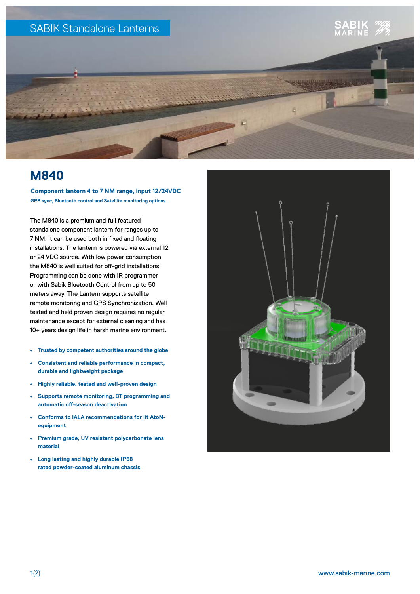

## **M840**

**Component lantern 4 to 7 NM range, input 12/24VDC GPS sync, Bluetooth control and Satellite monitoring options**

The M840 is a premium and full featured standalone component lantern for ranges up to 7 NM. It can be used both in fixed and floating installations. The lantern is powered via external 12 or 24 VDC source. With low power consumption the M840 is well suited for off-grid installations. Programming can be done with IR programmer or with Sabik Bluetooth Control from up to 50 meters away. The Lantern supports satellite remote monitoring and GPS Synchronization. Well tested and field proven design requires no regular maintenance except for external cleaning and has 10+ years design life in harsh marine environment.

- **• Trusted by competent authorities around the globe**
- **• Consistent and reliable performance in compact, durable and lightweight package**
- **• Highly reliable, tested and well-proven design**
- **• Supports remote monitoring, BT programming and automatic off-season deactivation**
- **• Conforms to IALA recommendations for lit AtoNequipment**
- **• Premium grade, UV resistant polycarbonate lens material**
- **• Long lasting and highly durable IP68 rated powder-coated aluminum chassis**